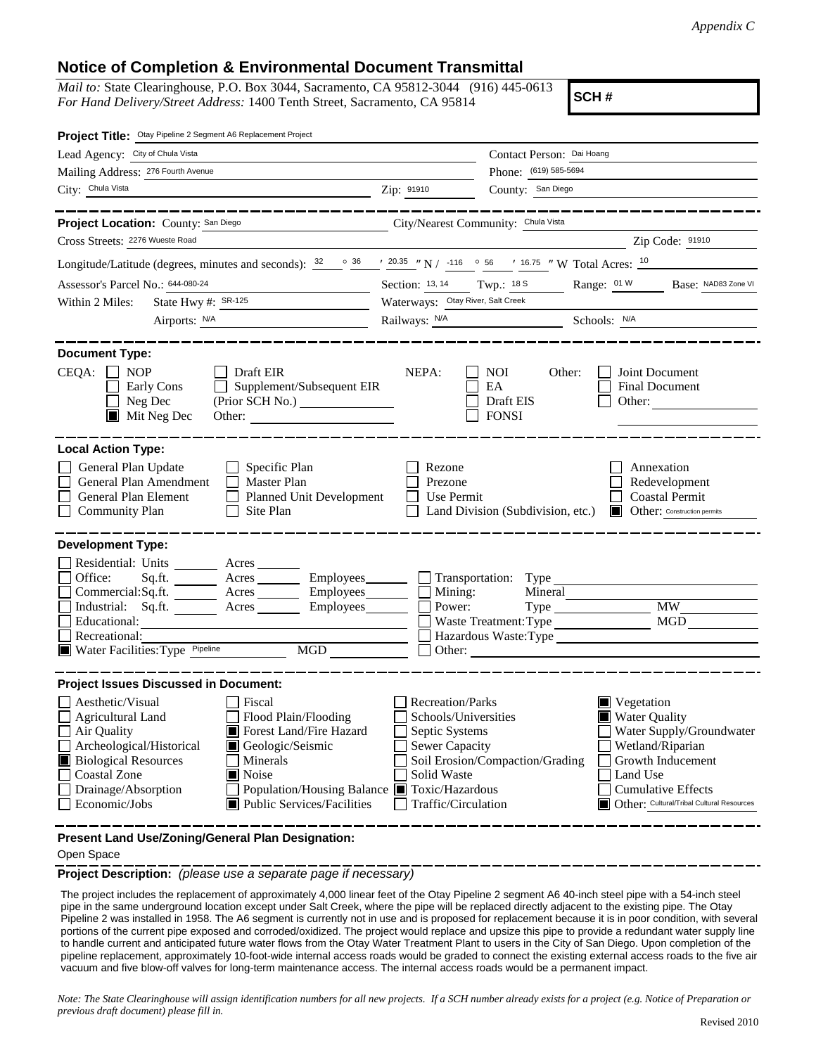## **Notice of Completion & Environmental Document Transmittal**

*Mail to:* State Clearinghouse, P.O. Box 3044, Sacramento, CA 95812-3044 (916) 445-0613 *For Hand Delivery/Street Address:* 1400 Tenth Street, Sacramento, CA 95814

**SCH #**

| Project Title: Otay Pipeline 2 Segment A6 Replacement Project                                                                                                                                                                                                                                                                                                                                                            |                                                                                                                                                                          |                                                                                                                                                                                                       |
|--------------------------------------------------------------------------------------------------------------------------------------------------------------------------------------------------------------------------------------------------------------------------------------------------------------------------------------------------------------------------------------------------------------------------|--------------------------------------------------------------------------------------------------------------------------------------------------------------------------|-------------------------------------------------------------------------------------------------------------------------------------------------------------------------------------------------------|
| Lead Agency: City of Chula Vista                                                                                                                                                                                                                                                                                                                                                                                         |                                                                                                                                                                          | Contact Person: Dai Hoang                                                                                                                                                                             |
| Mailing Address: 276 Fourth Avenue                                                                                                                                                                                                                                                                                                                                                                                       |                                                                                                                                                                          | Phone: (619) 585-5694                                                                                                                                                                                 |
| City: Chula Vista<br>the control of the control of the control of                                                                                                                                                                                                                                                                                                                                                        | Zip: 91910<br>County: San Diego                                                                                                                                          |                                                                                                                                                                                                       |
| Project Location: County: San Diego<br>Cross Streets: 2276 Wueste Road                                                                                                                                                                                                                                                                                                                                                   | City/Nearest Community: Chula Vista                                                                                                                                      | Zip Code: 91910                                                                                                                                                                                       |
|                                                                                                                                                                                                                                                                                                                                                                                                                          |                                                                                                                                                                          |                                                                                                                                                                                                       |
| Longitude/Latitude (degrees, minutes and seconds): $\frac{32}{20.35}$ $\frac{36}{20.35}$ $\frac{1}{20.35}$ $\frac{1}{20.35}$ $\frac{1}{20.35}$ $\frac{1}{20.35}$ $\frac{1}{20.35}$ $\frac{1}{20.35}$ $\frac{1}{20.35}$ $\frac{1}{20.35}$ $\frac{1}{20.35}$ $\frac{1}{20.35}$                                                                                                                                             |                                                                                                                                                                          |                                                                                                                                                                                                       |
| Assessor's Parcel No.: 644-080-24                                                                                                                                                                                                                                                                                                                                                                                        | Section: 13, 14 Twp.: 18 S                                                                                                                                               | Base: NAD83 Zone VI<br>Range: 01 W                                                                                                                                                                    |
| State Hwy #: SR-125<br>Within 2 Miles:                                                                                                                                                                                                                                                                                                                                                                                   | Waterways: Otay River, Salt Creek                                                                                                                                        |                                                                                                                                                                                                       |
| Airports: N/A                                                                                                                                                                                                                                                                                                                                                                                                            | Railways: N/A Schools: N/A                                                                                                                                               |                                                                                                                                                                                                       |
| <b>Document Type:</b><br>$CEQA: \Box NOP$<br>$\Box$ Draft EIR<br>Supplement/Subsequent EIR<br>Early Cons<br>Neg Dec<br>$\blacksquare$ Mit Neg Dec<br><b>Local Action Type:</b>                                                                                                                                                                                                                                           | NEPA:<br><b>NOI</b><br>EA<br>Draft EIS<br><b>FONSI</b>                                                                                                                   | Other:<br>Joint Document<br>Final Document<br>Other: $\frac{1}{\sqrt{1-\frac{1}{2}}\cdot\frac{1}{\sqrt{1-\frac{1}{2}}}}$                                                                              |
| General Plan Update<br>$\Box$ Specific Plan<br>General Plan Amendment<br>$\Box$ Master Plan<br>General Plan Element<br>Planned Unit Development<br><b>Community Plan</b><br>Site Plan                                                                                                                                                                                                                                    | Rezone<br>Prezone<br>Use Permit<br>Land Division (Subdivision, etc.)                                                                                                     | Annexation<br>Redevelopment<br><b>Coastal Permit</b><br><b>Other:</b> Construction permits                                                                                                            |
| <b>Development Type:</b><br>Residential: Units ________ Acres _______<br>Office:<br>Acres ________ Employees _______ _ Transportation: Type<br>Sq.ft.<br>Commercial:Sq.ft. <u>Acres</u> Acres Employees<br>Industrial: Sq.ft. ________ Acres __________ Employees ________<br>Educational:<br>Recreational:<br>Water Facilities: Type Pipeline<br>MGD                                                                    | Mining:<br>Power:                                                                                                                                                        | Mineral<br>Type<br>MW<br>MGD<br>Waste Treatment: Type<br>Hazardous Waste:Type<br>Other:                                                                                                               |
| <b>Project Issues Discussed in Document:</b><br>Aesthetic/Visual<br>Fiscal<br><b>Agricultural Land</b><br>Flood Plain/Flooding<br>Forest Land/Fire Hazard<br>Air Quality<br>Archeological/Historical<br>Geologic/Seismic<br><b>Biological Resources</b><br>Minerals<br><b>Coastal Zone</b><br>$\blacksquare$ Noise<br>Drainage/Absorption<br>Population/Housing Balance ■<br>Economic/Jobs<br>Public Services/Facilities | Recreation/Parks<br>Schools/Universities<br>Septic Systems<br>Sewer Capacity<br>Soil Erosion/Compaction/Grading<br>Solid Waste<br>Toxic/Hazardous<br>Traffic/Circulation | $\blacksquare$ Vegetation<br>Water Quality<br>Water Supply/Groundwater<br>Wetland/Riparian<br>Growth Inducement<br>Land Use<br><b>Cumulative Effects</b><br>Other: Cultural/Tribal Cultural Resources |

**Present Land Use/Zoning/General Plan Designation:**

## Open Space

**Project Description:** *(please use a separate page if necessary)*

 The project includes the replacement of approximately 4,000 linear feet of the Otay Pipeline 2 segment A6 40-inch steel pipe with a 54-inch steel pipe in the same underground location except under Salt Creek, where the pipe will be replaced directly adjacent to the existing pipe. The Otay Pipeline 2 was installed in 1958. The A6 segment is currently not in use and is proposed for replacement because it is in poor condition, with several portions of the current pipe exposed and corroded/oxidized. The project would replace and upsize this pipe to provide a redundant water supply line to handle current and anticipated future water flows from the Otay Water Treatment Plant to users in the City of San Diego. Upon completion of the pipeline replacement, approximately 10-foot-wide internal access roads would be graded to connect the existing external access roads to the five air vacuum and five blow-off valves for long-term maintenance access. The internal access roads would be a permanent impact.

*Note: The State Clearinghouse will assign identification numbers for all new projects. If a SCH number already exists for a project (e.g. Notice of Preparation or previous draft document) please fill in.*